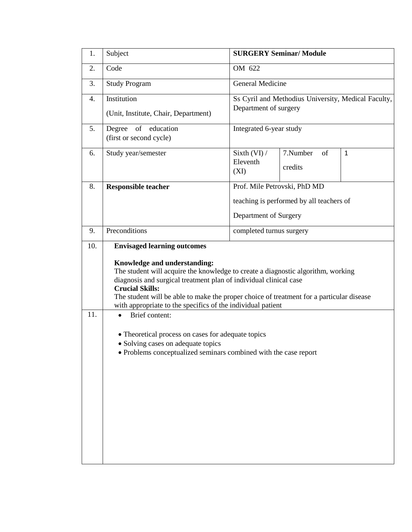| 1.  | Subject                                                                                                                                                                                                                                                                                                                                                                                                                                                                                                                                                                   | <b>SURGERY Seminar/ Module</b>                                               |                           |              |  |  |  |
|-----|---------------------------------------------------------------------------------------------------------------------------------------------------------------------------------------------------------------------------------------------------------------------------------------------------------------------------------------------------------------------------------------------------------------------------------------------------------------------------------------------------------------------------------------------------------------------------|------------------------------------------------------------------------------|---------------------------|--------------|--|--|--|
| 2.  | Code                                                                                                                                                                                                                                                                                                                                                                                                                                                                                                                                                                      | OM 622                                                                       |                           |              |  |  |  |
| 3.  | <b>Study Program</b>                                                                                                                                                                                                                                                                                                                                                                                                                                                                                                                                                      | General Medicine                                                             |                           |              |  |  |  |
| 4.  | Institution<br>(Unit, Institute, Chair, Department)                                                                                                                                                                                                                                                                                                                                                                                                                                                                                                                       | Ss Cyril and Methodius University, Medical Faculty,<br>Department of surgery |                           |              |  |  |  |
| 5.  | Degree<br>of education<br>(first or second cycle)                                                                                                                                                                                                                                                                                                                                                                                                                                                                                                                         | Integrated 6-year study                                                      |                           |              |  |  |  |
| 6.  | Study year/semester                                                                                                                                                                                                                                                                                                                                                                                                                                                                                                                                                       | Sixth (VI) /<br>Eleventh<br>(XI)                                             | 7.Number<br>of<br>credits | $\mathbf{1}$ |  |  |  |
| 8.  | <b>Responsible teacher</b>                                                                                                                                                                                                                                                                                                                                                                                                                                                                                                                                                | Prof. Mile Petrovski, PhD MD                                                 |                           |              |  |  |  |
|     |                                                                                                                                                                                                                                                                                                                                                                                                                                                                                                                                                                           | teaching is performed by all teachers of                                     |                           |              |  |  |  |
|     |                                                                                                                                                                                                                                                                                                                                                                                                                                                                                                                                                                           | Department of Surgery                                                        |                           |              |  |  |  |
| 9.  | Preconditions                                                                                                                                                                                                                                                                                                                                                                                                                                                                                                                                                             | completed turnus surgery                                                     |                           |              |  |  |  |
| 10. | <b>Envisaged learning outcomes</b>                                                                                                                                                                                                                                                                                                                                                                                                                                                                                                                                        |                                                                              |                           |              |  |  |  |
| 11. | Knowledge and understanding:<br>The student will acquire the knowledge to create a diagnostic algorithm, working<br>diagnosis and surgical treatment plan of individual clinical case<br><b>Crucial Skills:</b><br>The student will be able to make the proper choice of treatment for a particular disease<br>with appropriate to the specifics of the individual patient<br>Brief content:<br>$\bullet$<br>• Theoretical process on cases for adequate topics<br>· Solving cases on adequate topics<br>• Problems conceptualized seminars combined with the case report |                                                                              |                           |              |  |  |  |
|     |                                                                                                                                                                                                                                                                                                                                                                                                                                                                                                                                                                           |                                                                              |                           |              |  |  |  |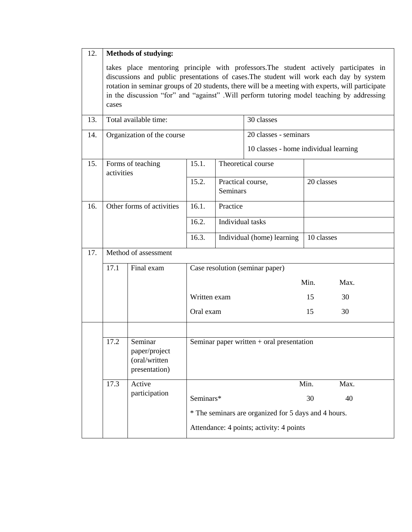| 12. | <b>Methods of studying:</b>                                                                                                                                                                                                                                                                                                                                                                 |                      |                                                      |                                 |                                                                |            |      |
|-----|---------------------------------------------------------------------------------------------------------------------------------------------------------------------------------------------------------------------------------------------------------------------------------------------------------------------------------------------------------------------------------------------|----------------------|------------------------------------------------------|---------------------------------|----------------------------------------------------------------|------------|------|
|     | takes place mentoring principle with professors. The student actively participates in<br>discussions and public presentations of cases. The student will work each day by system<br>rotation in seminar groups of 20 students, there will be a meeting with experts, will participate<br>in the discussion "for" and "against" .Will perform tutoring model teaching by addressing<br>cases |                      |                                                      |                                 |                                                                |            |      |
| 13. | Total available time:                                                                                                                                                                                                                                                                                                                                                                       |                      |                                                      |                                 | 30 classes                                                     |            |      |
| 14. | Organization of the course                                                                                                                                                                                                                                                                                                                                                                  |                      |                                                      |                                 | 20 classes - seminars<br>10 classes - home individual learning |            |      |
| 15. | Forms of teaching<br>activities                                                                                                                                                                                                                                                                                                                                                             |                      | 15.1.                                                |                                 | Theoretical course                                             |            |      |
|     |                                                                                                                                                                                                                                                                                                                                                                                             |                      | 15.2.                                                | Seminars                        | Practical course,<br>20 classes                                |            |      |
| 16. | Other forms of activities                                                                                                                                                                                                                                                                                                                                                                   |                      | 16.1.                                                | Practice                        |                                                                |            |      |
|     |                                                                                                                                                                                                                                                                                                                                                                                             |                      |                                                      | Individual tasks                |                                                                |            |      |
|     |                                                                                                                                                                                                                                                                                                                                                                                             |                      | 16.3.                                                | Individual (home) learning      |                                                                | 10 classes |      |
| 17. |                                                                                                                                                                                                                                                                                                                                                                                             | Method of assessment |                                                      |                                 |                                                                |            |      |
|     | 17.1                                                                                                                                                                                                                                                                                                                                                                                        | Final exam           |                                                      | Case resolution (seminar paper) |                                                                |            |      |
|     | Written exam                                                                                                                                                                                                                                                                                                                                                                                |                      |                                                      |                                 |                                                                | Min.       | Max. |
|     |                                                                                                                                                                                                                                                                                                                                                                                             |                      |                                                      |                                 |                                                                | 15         | 30   |
|     |                                                                                                                                                                                                                                                                                                                                                                                             |                      |                                                      | Oral exam                       |                                                                |            | 30   |
|     |                                                                                                                                                                                                                                                                                                                                                                                             |                      |                                                      |                                 |                                                                |            |      |
|     | 17.2<br>Seminar<br>Seminar paper written $+$ oral presentation<br>paper/project<br>(oral/written<br>presentation)                                                                                                                                                                                                                                                                           |                      |                                                      |                                 |                                                                |            |      |
|     | 17.3                                                                                                                                                                                                                                                                                                                                                                                        | Active               |                                                      |                                 |                                                                | Min.       | Max. |
|     | participation                                                                                                                                                                                                                                                                                                                                                                               |                      | Seminars*                                            |                                 | 30                                                             | 40         |      |
|     |                                                                                                                                                                                                                                                                                                                                                                                             |                      | * The seminars are organized for 5 days and 4 hours. |                                 |                                                                |            |      |
|     | Attendance: 4 points; activity: 4 points                                                                                                                                                                                                                                                                                                                                                    |                      |                                                      |                                 |                                                                |            |      |